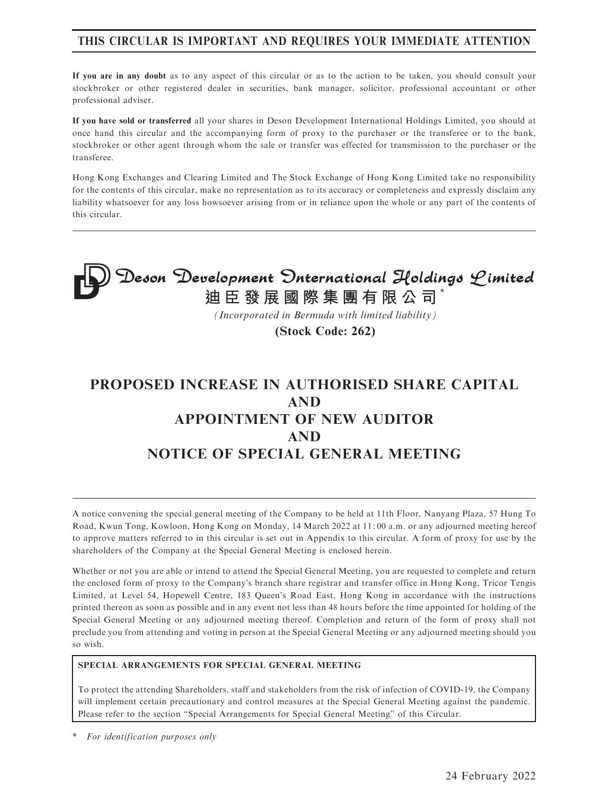### THIS CIRCULAR IS IMPORTANT AND REQUIRES YOUR IMMEDIATE ATTENTION

If you are in any doubt as to any aspect of this circular or as to the action to be taken, you should consult your stockbroker or other registered dealer in securities, bank manager, solicitor, professional accountant or other professional adviser.

If you have sold or transferred all your shares in Deson Development International Holdings Limited, you should at once hand this circular and the accompanying form of proxy to the purchaser or the transferee or to the bank, stockbroker or other agent through whom the sale or transfer was effected for transmission to the purchaser or the transferee.

Hong Kong Exchanges and Clearing Limited and The Stock Exchange of Hong Kong Limited take no responsibility for the contents of this circular, make no representation as to its accuracy or completeness and expressly disclaim any liability whatsoever for any loss howsoever arising from or in reliance upon the whole or any part of the contents of this circular.

# **Deson Development Onternational Holdings Limited**<br>迪臣發展國際集團有限公司<sup>\*</sup>

*(Incorporated in Bermuda with limited liability)*

**(Stock Code: 262)**

# PROPOSED INCREASE IN AUTHORISED SHARE CAPITAL AND APPOINTMENT OF NEW AUDITOR AND NOTICE OF SPECIAL GENERAL MEETING

A notice convening the special general meeting of the Company to be held at 11th Floor, Nanyang Plaza, 57 Hung To Road, Kwun Tong, Kowloon, Hong Kong on Monday, 14 March 2022 at 11: 00 a.m. or any adjourned meeting hereof to approve matters referred to in this circular is set out in Appendix to this circular. A form of proxy for use by the shareholders of the Company at the Special General Meeting is enclosed herein.

Whether or not you are able or intend to attend the Special General Meeting, you are requested to complete and return the enclosed form of proxy to the Company's branch share registrar and transfer office in Hong Kong, Tricor Tengis Limited, at Level 54, Hopewell Centre, 183 Queen's Road East, Hong Kong in accordance with the instructions printed thereon as soon as possible and in any event not less than 48 hours before the time appointed for holding of the Special General Meeting or any adjourned meeting thereof. Completion and return of the form of proxy shall not preclude you from attending and voting in person at the Special General Meeting or any adjourned meeting should you so wish.

#### SPECIAL ARRANGEMENTS FOR SPECIAL GENERAL MEETING

To protect the attending Shareholders, staff and stakeholders from the risk of infection of COVID-19, the Company will implement certain precautionary and control measures at the Special General Meeting against the pandemic. Please refer to the section "Special Arrangements for Special General Meeting" of this Circular.

For identification purposes only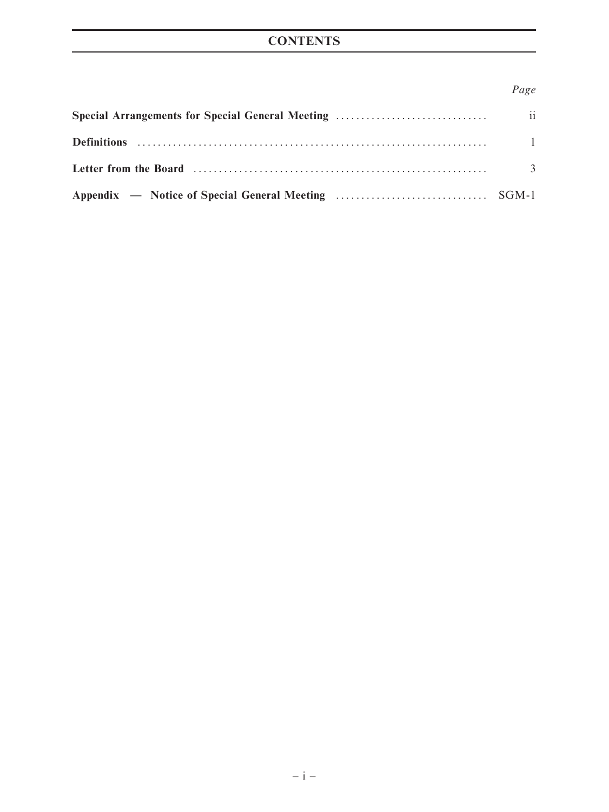# **CONTENTS**

### Page

| $\overline{3}$ |
|----------------|
|                |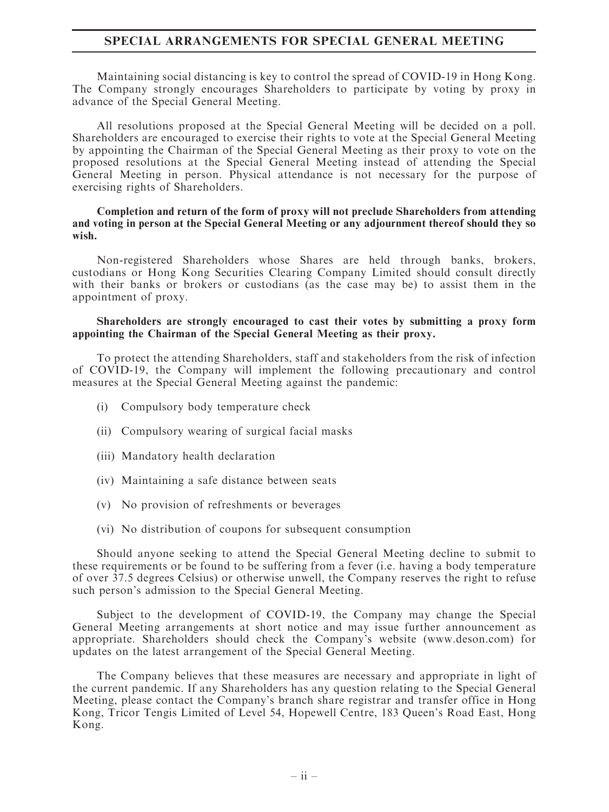#### SPECIAL ARRANGEMENTS FOR SPECIAL GENERAL MEETING

Maintaining social distancing is key to control the spread of COVID-19 in Hong Kong. The Company strongly encourages Shareholders to participate by voting by proxy in advance of the Special General Meeting.

All resolutions proposed at the Special General Meeting will be decided on a poll. Shareholders are encouraged to exercise their rights to vote at the Special General Meeting by appointing the Chairman of the Special General Meeting as their proxy to vote on the proposed resolutions at the Special General Meeting instead of attending the Special General Meeting in person. Physical attendance is not necessary for the purpose of exercising rights of Shareholders.

#### Completion and return of the form of proxy will not preclude Shareholders from attending and voting in person at the Special General Meeting or any adjournment thereof should they so wish.

Non-registered Shareholders whose Shares are held through banks, brokers, custodians or Hong Kong Securities Clearing Company Limited should consult directly with their banks or brokers or custodians (as the case may be) to assist them in the appointment of proxy.

#### Shareholders are strongly encouraged to cast their votes by submitting a proxy form appointing the Chairman of the Special General Meeting as their proxy.

To protect the attending Shareholders, staff and stakeholders from the risk of infection of COVID-19, the Company will implement the following precautionary and control measures at the Special General Meeting against the pandemic:

- (i) Compulsory body temperature check
- (ii) Compulsory wearing of surgical facial masks
- (iii) Mandatory health declaration
- (iv) Maintaining a safe distance between seats
- (v) No provision of refreshments or beverages
- (vi) No distribution of coupons for subsequent consumption

Should anyone seeking to attend the Special General Meeting decline to submit to these requirements or be found to be suffering from a fever (i.e. having a body temperature of over 37.5 degrees Celsius) or otherwise unwell, the Company reserves the right to refuse such person's admission to the Special General Meeting.

Subject to the development of COVID-19, the Company may change the Special General Meeting arrangements at short notice and may issue further announcement as appropriate. Shareholders should check the Company's website (www.deson.com) for updates on the latest arrangement of the Special General Meeting.

The Company believes that these measures are necessary and appropriate in light of the current pandemic. If any Shareholders has any question relating to the Special General Meeting, please contact the Company's branch share registrar and transfer office in Hong Kong, Tricor Tengis Limited of Level 54, Hopewell Centre, 183 Queen's Road East, Hong Kong.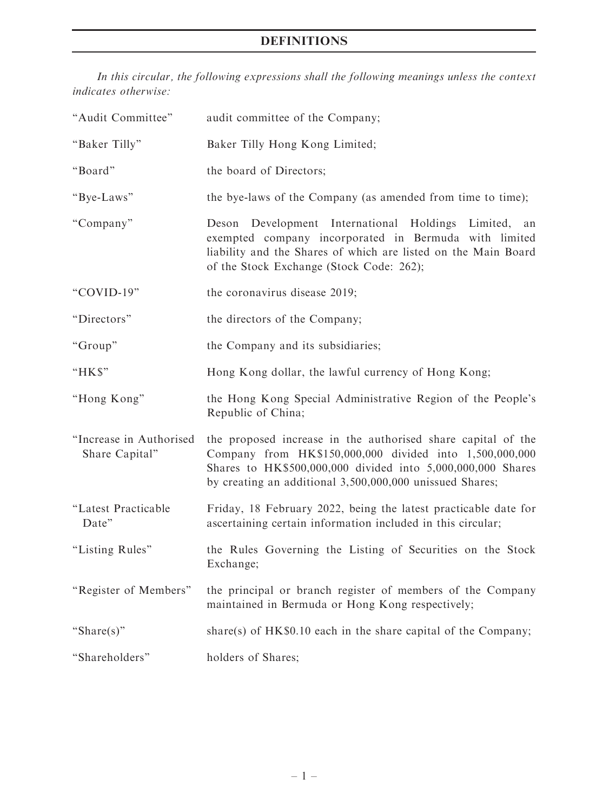# DEFINITIONS

In this circular, the following expressions shall the following meanings unless the context indicates otherwise:

| "Audit Committee"                         | audit committee of the Company;                                                                                                                                                                                                                    |
|-------------------------------------------|----------------------------------------------------------------------------------------------------------------------------------------------------------------------------------------------------------------------------------------------------|
| "Baker Tilly"                             | Baker Tilly Hong Kong Limited;                                                                                                                                                                                                                     |
| "Board"                                   | the board of Directors;                                                                                                                                                                                                                            |
| "Bye-Laws"                                | the bye-laws of the Company (as amended from time to time);                                                                                                                                                                                        |
| "Company"                                 | Deson Development International Holdings Limited,<br>an<br>exempted company incorporated in Bermuda with limited<br>liability and the Shares of which are listed on the Main Board<br>of the Stock Exchange (Stock Code: 262);                     |
| "COVID-19"                                | the coronavirus disease 2019;                                                                                                                                                                                                                      |
| "Directors"                               | the directors of the Company;                                                                                                                                                                                                                      |
| "Group"                                   | the Company and its subsidiaries;                                                                                                                                                                                                                  |
| "HK\$"                                    | Hong Kong dollar, the lawful currency of Hong Kong;                                                                                                                                                                                                |
| "Hong Kong"                               | the Hong Kong Special Administrative Region of the People's<br>Republic of China;                                                                                                                                                                  |
| "Increase in Authorised<br>Share Capital" | the proposed increase in the authorised share capital of the<br>Company from HK\$150,000,000 divided into 1,500,000,000<br>Shares to HK\$500,000,000 divided into 5,000,000,000 Shares<br>by creating an additional 3,500,000,000 unissued Shares; |
| "Latest Practicable<br>Date"              | Friday, 18 February 2022, being the latest practicable date for<br>ascertaining certain information included in this circular;                                                                                                                     |
| "Listing Rules"                           | the Rules Governing the Listing of Securities on the Stock<br>Exchange;                                                                                                                                                                            |
| "Register of Members"                     | the principal or branch register of members of the Company                                                                                                                                                                                         |
|                                           | maintained in Bermuda or Hong Kong respectively;                                                                                                                                                                                                   |
| "Share $(s)$ "                            | share(s) of $HK\$0.10$ each in the share capital of the Company;                                                                                                                                                                                   |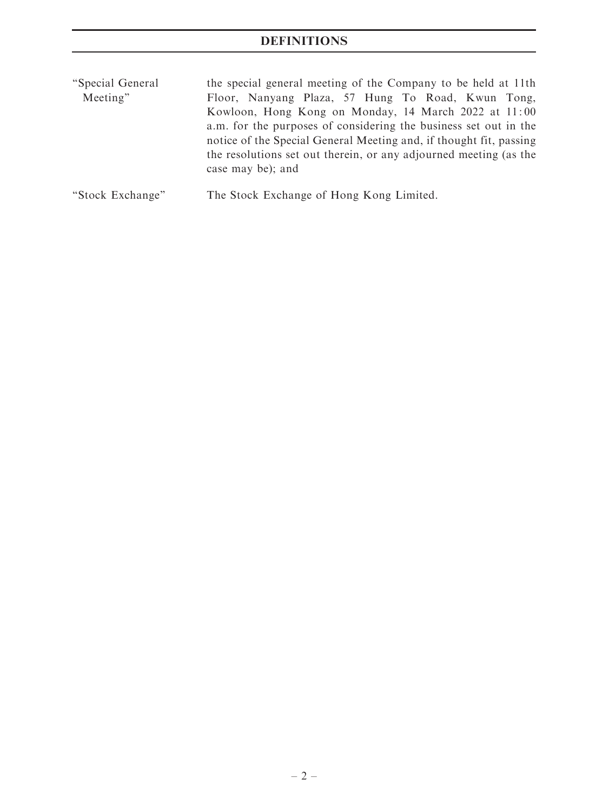# **DEFINITIONS**

| "Special General" | the special general meeting of the Company to be held at 11th      |
|-------------------|--------------------------------------------------------------------|
| Meeting"          | Floor, Nanyang Plaza, 57 Hung To Road, Kwun Tong,                  |
|                   | Kowloon, Hong Kong on Monday, 14 March 2022 at 11:00               |
|                   | a.m. for the purposes of considering the business set out in the   |
|                   | notice of the Special General Meeting and, if thought fit, passing |
|                   | the resolutions set out therein, or any adjourned meeting (as the  |
|                   | case may be); and                                                  |
|                   |                                                                    |

''Stock Exchange'' The Stock Exchange of Hong Kong Limited.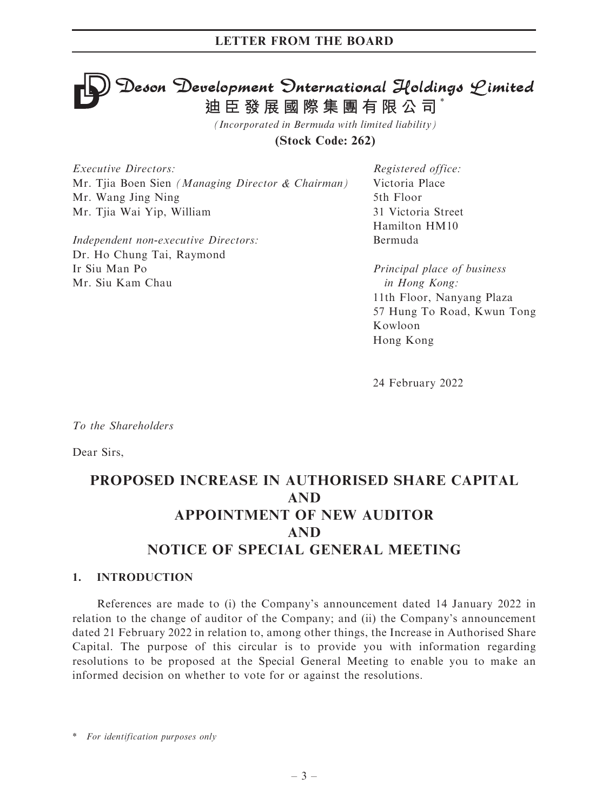# **Deson Development Onternational Holdings Limited<br>迪臣發展國際集團有限公司\***

*(Incorporated in Bermuda with limited liability)*

**(Stock Code: 262)**

Executive Directors: Mr. Tiia Boen Sien (Managing Director & Chairman) Mr. Wang Jing Ning Mr. Tjia Wai Yip, William

Independent non-executive Directors: Dr. Ho Chung Tai, Raymond Ir Siu Man Po Mr. Siu Kam Chau

Registered office: Victoria Place 5th Floor 31 Victoria Street Hamilton HM10 Bermuda

Principal place of business in Hong Kong: 11th Floor, Nanyang Plaza 57 Hung To Road, Kwun Tong Kowloon Hong Kong

24 February 2022

To the Shareholders

Dear Sirs,

# PROPOSED INCREASE IN AUTHORISED SHARE CAPITAL AND APPOINTMENT OF NEW AUDITOR AND NOTICE OF SPECIAL GENERAL MEETING

#### 1. INTRODUCTION

References are made to (i) the Company's announcement dated 14 January 2022 in relation to the change of auditor of the Company; and (ii) the Company's announcement dated 21 February 2022 in relation to, among other things, the Increase in Authorised Share Capital. The purpose of this circular is to provide you with information regarding resolutions to be proposed at the Special General Meeting to enable you to make an informed decision on whether to vote for or against the resolutions.

\* For identification purposes only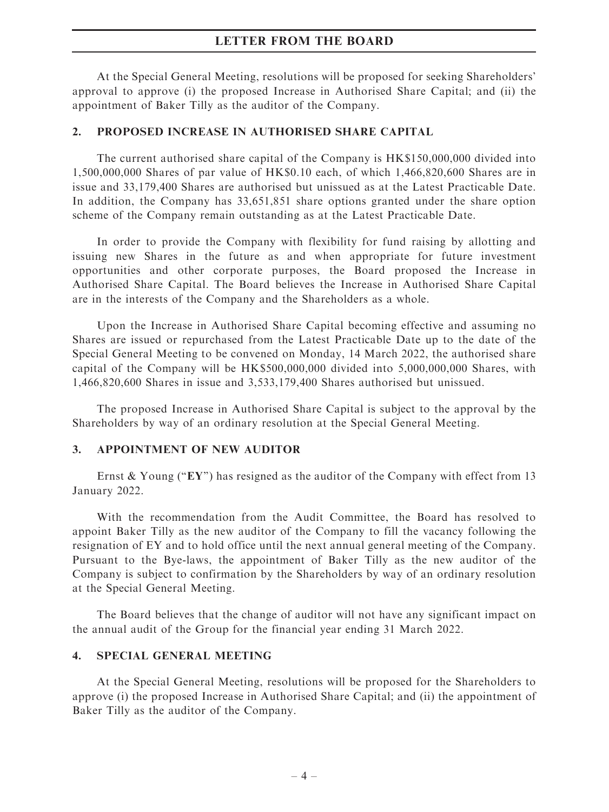#### LETTER FROM THE BOARD

At the Special General Meeting, resolutions will be proposed for seeking Shareholders' approval to approve (i) the proposed Increase in Authorised Share Capital; and (ii) the appointment of Baker Tilly as the auditor of the Company.

#### 2. PROPOSED INCREASE IN AUTHORISED SHARE CAPITAL

The current authorised share capital of the Company is HK\$150,000,000 divided into 1,500,000,000 Shares of par value of HK\$0.10 each, of which 1,466,820,600 Shares are in issue and 33,179,400 Shares are authorised but unissued as at the Latest Practicable Date. In addition, the Company has 33,651,851 share options granted under the share option scheme of the Company remain outstanding as at the Latest Practicable Date.

In order to provide the Company with flexibility for fund raising by allotting and issuing new Shares in the future as and when appropriate for future investment opportunities and other corporate purposes, the Board proposed the Increase in Authorised Share Capital. The Board believes the Increase in Authorised Share Capital are in the interests of the Company and the Shareholders as a whole.

Upon the Increase in Authorised Share Capital becoming effective and assuming no Shares are issued or repurchased from the Latest Practicable Date up to the date of the Special General Meeting to be convened on Monday, 14 March 2022, the authorised share capital of the Company will be HK\$500,000,000 divided into 5,000,000,000 Shares, with 1,466,820,600 Shares in issue and 3,533,179,400 Shares authorised but unissued.

The proposed Increase in Authorised Share Capital is subject to the approval by the Shareholders by way of an ordinary resolution at the Special General Meeting.

#### 3. APPOINTMENT OF NEW AUDITOR

Ernst & Young (" $EY$ ") has resigned as the auditor of the Company with effect from 13 January 2022.

With the recommendation from the Audit Committee, the Board has resolved to appoint Baker Tilly as the new auditor of the Company to fill the vacancy following the resignation of EY and to hold office until the next annual general meeting of the Company. Pursuant to the Bye-laws, the appointment of Baker Tilly as the new auditor of the Company is subject to confirmation by the Shareholders by way of an ordinary resolution at the Special General Meeting.

The Board believes that the change of auditor will not have any significant impact on the annual audit of the Group for the financial year ending 31 March 2022.

#### 4. SPECIAL GENERAL MEETING

At the Special General Meeting, resolutions will be proposed for the Shareholders to approve (i) the proposed Increase in Authorised Share Capital; and (ii) the appointment of Baker Tilly as the auditor of the Company.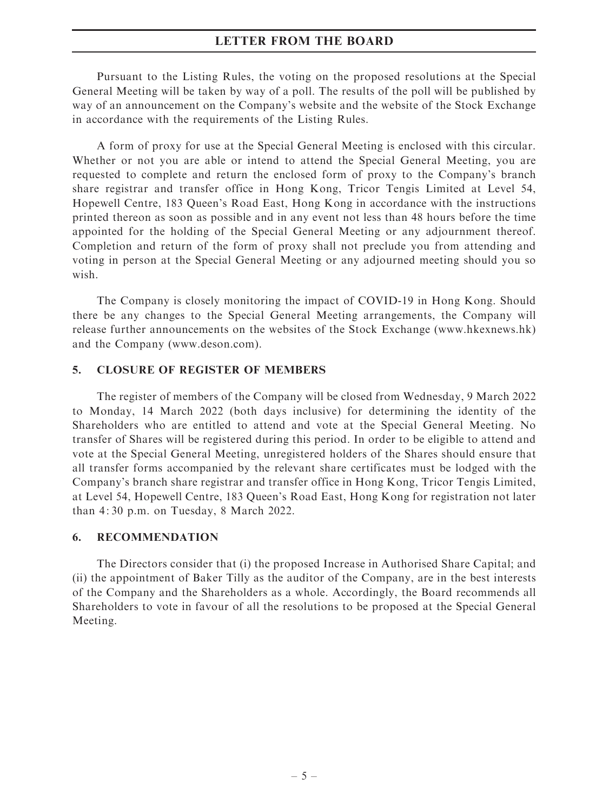#### LETTER FROM THE BOARD

Pursuant to the Listing Rules, the voting on the proposed resolutions at the Special General Meeting will be taken by way of a poll. The results of the poll will be published by way of an announcement on the Company's website and the website of the Stock Exchange in accordance with the requirements of the Listing Rules.

A form of proxy for use at the Special General Meeting is enclosed with this circular. Whether or not you are able or intend to attend the Special General Meeting, you are requested to complete and return the enclosed form of proxy to the Company's branch share registrar and transfer office in Hong Kong, Tricor Tengis Limited at Level 54, Hopewell Centre, 183 Queen's Road East, Hong Kong in accordance with the instructions printed thereon as soon as possible and in any event not less than 48 hours before the time appointed for the holding of the Special General Meeting or any adjournment thereof. Completion and return of the form of proxy shall not preclude you from attending and voting in person at the Special General Meeting or any adjourned meeting should you so wish.

The Company is closely monitoring the impact of COVID-19 in Hong Kong. Should there be any changes to the Special General Meeting arrangements, the Company will release further announcements on the websites of the Stock Exchange (www.hkexnews.hk) and the Company (www.deson.com).

#### 5. CLOSURE OF REGISTER OF MEMBERS

The register of members of the Company will be closed from Wednesday, 9 March 2022 to Monday, 14 March 2022 (both days inclusive) for determining the identity of the Shareholders who are entitled to attend and vote at the Special General Meeting. No transfer of Shares will be registered during this period. In order to be eligible to attend and vote at the Special General Meeting, unregistered holders of the Shares should ensure that all transfer forms accompanied by the relevant share certificates must be lodged with the Company's branch share registrar and transfer office in Hong Kong, Tricor Tengis Limited, at Level 54, Hopewell Centre, 183 Queen's Road East, Hong Kong for registration not later than 4: 30 p.m. on Tuesday, 8 March 2022.

#### 6. RECOMMENDATION

The Directors consider that (i) the proposed Increase in Authorised Share Capital; and (ii) the appointment of Baker Tilly as the auditor of the Company, are in the best interests of the Company and the Shareholders as a whole. Accordingly, the Board recommends all Shareholders to vote in favour of all the resolutions to be proposed at the Special General Meeting.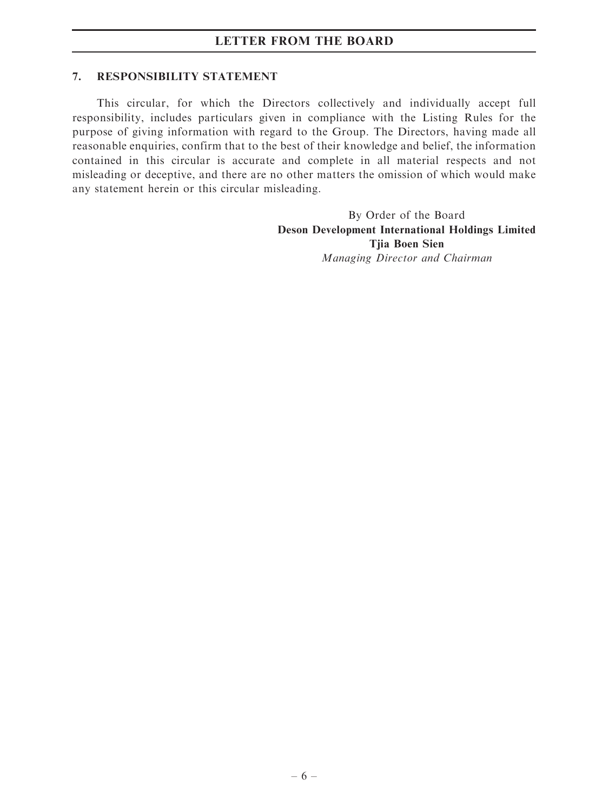### LETTER FROM THE BOARD

#### 7. RESPONSIBILITY STATEMENT

This circular, for which the Directors collectively and individually accept full responsibility, includes particulars given in compliance with the Listing Rules for the purpose of giving information with regard to the Group. The Directors, having made all reasonable enquiries, confirm that to the best of their knowledge and belief, the information contained in this circular is accurate and complete in all material respects and not misleading or deceptive, and there are no other matters the omission of which would make any statement herein or this circular misleading.

> By Order of the Board Deson Development International Holdings Limited Tjia Boen Sien Managing Director and Chairman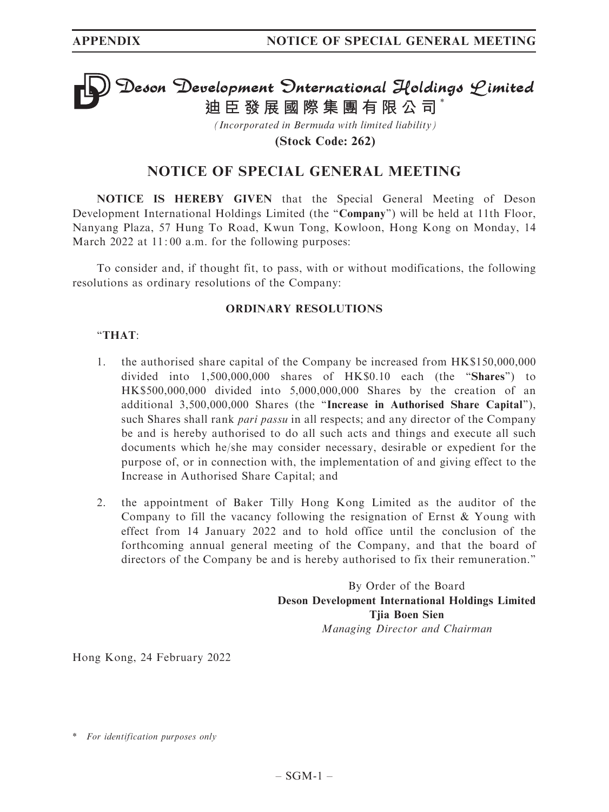# **Deson Development Onternational Holdings Limited<br>迪臣發展國際集團有限公司<sup>\*</sup>**

*(Incorporated in Bermuda with limited liability)*

**(Stock Code: 262)**

# NOTICE OF SPECIAL GENERAL MEETING

NOTICE IS HEREBY GIVEN that the Special General Meeting of Deson Development International Holdings Limited (the "Company") will be held at 11th Floor, Nanyang Plaza, 57 Hung To Road, Kwun Tong, Kowloon, Hong Kong on Monday, 14 March 2022 at 11:00 a.m. for the following purposes:

To consider and, if thought fit, to pass, with or without modifications, the following resolutions as ordinary resolutions of the Company:

#### ORDINARY RESOLUTIONS

#### ''THAT:

- 1. the authorised share capital of the Company be increased from HK\$150,000,000 divided into 1,500,000,000 shares of HK\$0.10 each (the ''Shares'') to HK\$500,000,000 divided into 5,000,000,000 Shares by the creation of an additional 3,500,000,000 Shares (the ''Increase in Authorised Share Capital''), such Shares shall rank *pari passu* in all respects; and any director of the Company be and is hereby authorised to do all such acts and things and execute all such documents which he/she may consider necessary, desirable or expedient for the purpose of, or in connection with, the implementation of and giving effect to the Increase in Authorised Share Capital; and
- 2. the appointment of Baker Tilly Hong Kong Limited as the auditor of the Company to fill the vacancy following the resignation of Ernst & Young with effect from 14 January 2022 and to hold office until the conclusion of the forthcoming annual general meeting of the Company, and that the board of directors of the Company be and is hereby authorised to fix their remuneration.''

By Order of the Board Deson Development International Holdings Limited Tjia Boen Sien Managing Director and Chairman

Hong Kong, 24 February 2022

<sup>\*</sup> For identification purposes only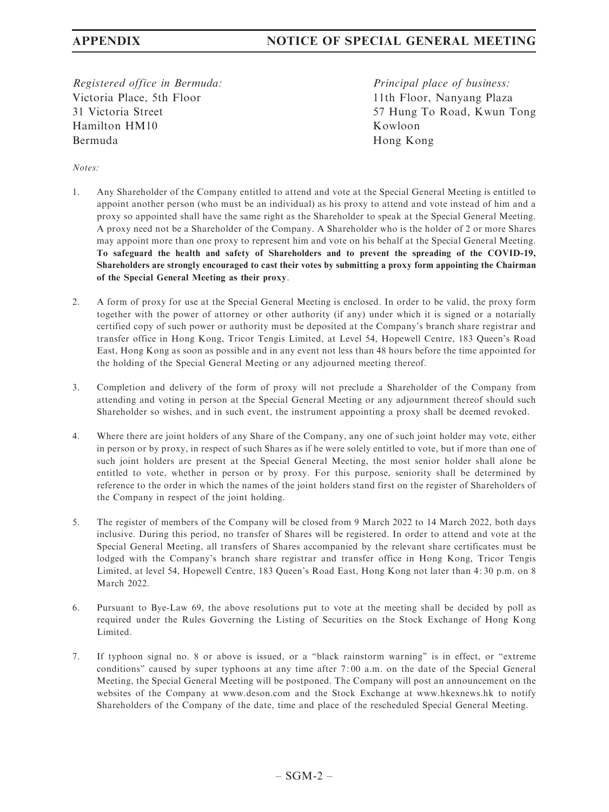Registered office in Bermuda: Victoria Place, 5th Floor 31 Victoria Street Hamilton HM10 Bermuda

Principal place of business: 11th Floor, Nanyang Plaza 57 Hung To Road, Kwun Tong Kowloon Hong Kong

#### Notes:

- 1. Any Shareholder of the Company entitled to attend and vote at the Special General Meeting is entitled to appoint another person (who must be an individual) as his proxy to attend and vote instead of him and a proxy so appointed shall have the same right as the Shareholder to speak at the Special General Meeting. A proxy need not be a Shareholder of the Company. A Shareholder who is the holder of 2 or more Shares may appoint more than one proxy to represent him and vote on his behalf at the Special General Meeting. To safeguard the health and safety of Shareholders and to prevent the spreading of the COVID-19, Shareholders are strongly encouraged to cast their votes by submitting a proxy form appointing the Chairman of the Special General Meeting as their proxy.
- 2. A form of proxy for use at the Special General Meeting is enclosed. In order to be valid, the proxy form together with the power of attorney or other authority (if any) under which it is signed or a notarially certified copy of such power or authority must be deposited at the Company's branch share registrar and transfer office in Hong Kong, Tricor Tengis Limited, at Level 54, Hopewell Centre, 183 Queen's Road East, Hong Kong as soon as possible and in any event not less than 48 hours before the time appointed for the holding of the Special General Meeting or any adjourned meeting thereof.
- 3. Completion and delivery of the form of proxy will not preclude a Shareholder of the Company from attending and voting in person at the Special General Meeting or any adjournment thereof should such Shareholder so wishes, and in such event, the instrument appointing a proxy shall be deemed revoked.
- 4. Where there are joint holders of any Share of the Company, any one of such joint holder may vote, either in person or by proxy, in respect of such Shares as if he were solely entitled to vote, but if more than one of such joint holders are present at the Special General Meeting, the most senior holder shall alone be entitled to vote, whether in person or by proxy. For this purpose, seniority shall be determined by reference to the order in which the names of the joint holders stand first on the register of Shareholders of the Company in respect of the joint holding.
- 5. The register of members of the Company will be closed from 9 March 2022 to 14 March 2022, both days inclusive. During this period, no transfer of Shares will be registered. In order to attend and vote at the Special General Meeting, all transfers of Shares accompanied by the relevant share certificates must be lodged with the Company's branch share registrar and transfer office in Hong Kong, Tricor Tengis Limited, at level 54, Hopewell Centre, 183 Queen's Road East, Hong Kong not later than 4: 30 p.m. on 8 March 2022.
- 6. Pursuant to Bye-Law 69, the above resolutions put to vote at the meeting shall be decided by poll as required under the Rules Governing the Listing of Securities on the Stock Exchange of Hong Kong Limited.
- 7. If typhoon signal no. 8 or above is issued, or a ''black rainstorm warning'' is in effect, or ''extreme conditions'' caused by super typhoons at any time after 7: 00 a.m. on the date of the Special General Meeting, the Special General Meeting will be postponed. The Company will post an announcement on the websites of the Company at www.deson.com and the Stock Exchange at www.hkexnews.hk to notify Shareholders of the Company of the date, time and place of the rescheduled Special General Meeting.